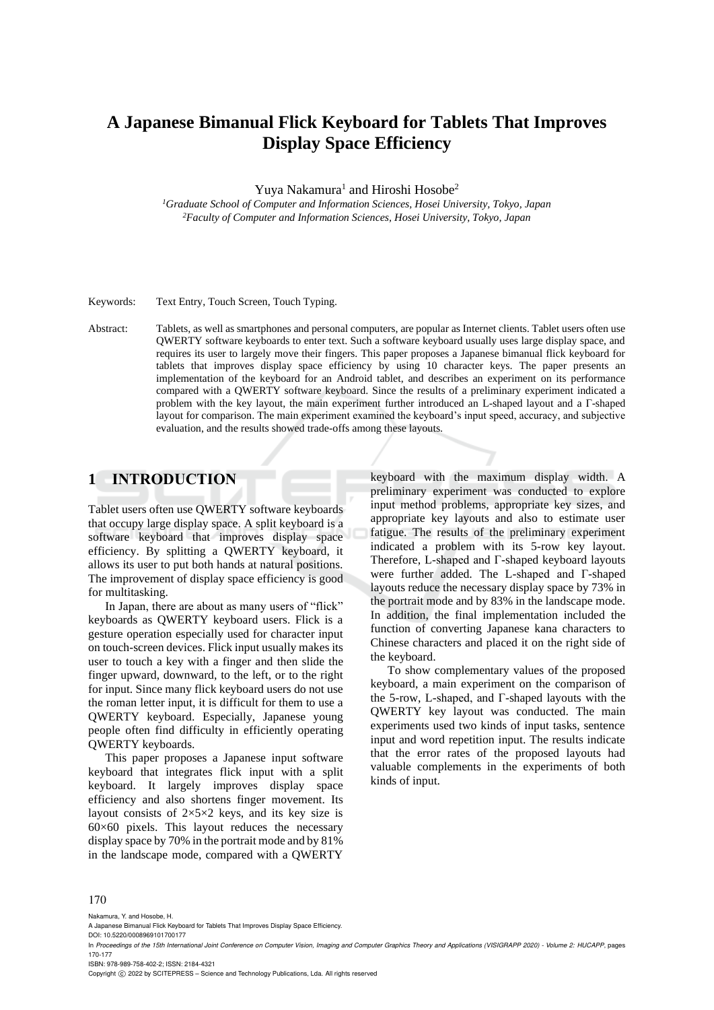# **A Japanese Bimanual Flick Keyboard for Tablets That Improves Display Space Efficiency**

Yuya Nakamura<sup>1</sup> and Hiroshi Hosobe<sup>2</sup>

*<sup>1</sup>Graduate School of Computer and Information Sciences, Hosei University, Tokyo, Japan <sup>2</sup>Faculty of Computer and Information Sciences, Hosei University, Tokyo, Japan*

Keywords: Text Entry, Touch Screen, Touch Typing.

Abstract: Tablets, as well as smartphones and personal computers, are popular as Internet clients. Tablet users often use QWERTY software keyboards to enter text. Such a software keyboard usually uses large display space, and requires its user to largely move their fingers. This paper proposes a Japanese bimanual flick keyboard for tablets that improves display space efficiency by using 10 character keys. The paper presents an implementation of the keyboard for an Android tablet, and describes an experiment on its performance compared with a QWERTY software keyboard. Since the results of a preliminary experiment indicated a problem with the key layout, the main experiment further introduced an L-shaped layout and a Γ-shaped layout for comparison. The main experiment examined the keyboard's input speed, accuracy, and subjective evaluation, and the results showed trade-offs among these layouts.

# **1 INTRODUCTION**

Tablet users often use QWERTY software keyboards that occupy large display space. A split keyboard is a software keyboard that improves display space efficiency. By splitting a QWERTY keyboard, it allows its user to put both hands at natural positions. The improvement of display space efficiency is good for multitasking.

In Japan, there are about as many users of "flick" keyboards as QWERTY keyboard users. Flick is a gesture operation especially used for character input on touch-screen devices. Flick input usually makes its user to touch a key with a finger and then slide the finger upward, downward, to the left, or to the right for input. Since many flick keyboard users do not use the roman letter input, it is difficult for them to use a QWERTY keyboard. Especially, Japanese young people often find difficulty in efficiently operating QWERTY keyboards.

This paper proposes a Japanese input software keyboard that integrates flick input with a split keyboard. It largely improves display space efficiency and also shortens finger movement. Its layout consists of 2×5×2 keys, and its key size is 60×60 pixels. This layout reduces the necessary display space by 70% in the portrait mode and by 81% in the landscape mode, compared with a QWERTY

keyboard with the maximum display width. A preliminary experiment was conducted to explore input method problems, appropriate key sizes, and appropriate key layouts and also to estimate user fatigue. The results of the preliminary experiment indicated a problem with its 5-row key layout. Therefore, L-shaped and Γ-shaped keyboard layouts were further added. The L-shaped and Γ-shaped layouts reduce the necessary display space by 73% in the portrait mode and by 83% in the landscape mode. In addition, the final implementation included the function of converting Japanese kana characters to Chinese characters and placed it on the right side of the keyboard.

To show complementary values of the proposed keyboard, a main experiment on the comparison of the 5-row, L-shaped, and Γ-shaped layouts with the QWERTY key layout was conducted. The main experiments used two kinds of input tasks, sentence input and word repetition input. The results indicate that the error rates of the proposed layouts had valuable complements in the experiments of both kinds of input.

#### 170

Nakamura, Y. and Hosobe, H.

DOI: 10.5220/0008969101700177

In *Proceedings of the 15th International Joint Conference on Computer Vision, Imaging and Computer Graphics Theory and Applications (VISIGRAPP 2020) - Volume 2: HUCAPP*, pages 170-177

ISBN: 978-989-758-402-2; ISSN: 2184-4321

Copyright  $\circled{c}$  2022 by SCITEPRESS – Science and Technology Publications, Lda. All rights reserved

A Japanese Bimanual Flick Keyboard for Tablets That Improves Display Space Efficiency.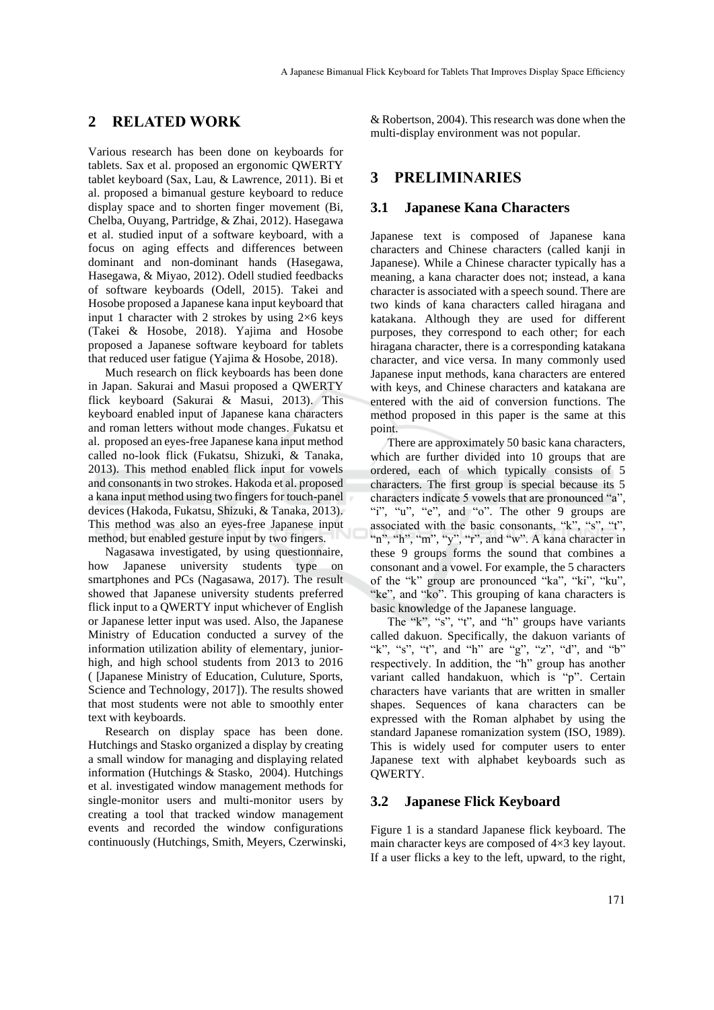## **2 RELATED WORK**

Various research has been done on keyboards for tablets. Sax et al. proposed an ergonomic QWERTY tablet keyboard (Sax, Lau, & Lawrence, 2011). Bi et al. proposed a bimanual gesture keyboard to reduce display space and to shorten finger movement (Bi, Chelba, Ouyang, Partridge, & Zhai, 2012). Hasegawa et al. studied input of a software keyboard, with a focus on aging effects and differences between dominant and non-dominant hands (Hasegawa, Hasegawa, & Miyao, 2012). Odell studied feedbacks of software keyboards (Odell, 2015). Takei and Hosobe proposed a Japanese kana input keyboard that input 1 character with 2 strokes by using  $2 \times 6$  keys (Takei & Hosobe, 2018). Yajima and Hosobe proposed a Japanese software keyboard for tablets that reduced user fatigue (Yajima & Hosobe, 2018).

Much research on flick keyboards has been done in Japan. Sakurai and Masui proposed a QWERTY flick keyboard (Sakurai & Masui, 2013). This keyboard enabled input of Japanese kana characters and roman letters without mode changes. Fukatsu et al. proposed an eyes-free Japanese kana input method called no-look flick (Fukatsu, Shizuki, & Tanaka, 2013). This method enabled flick input for vowels and consonants in two strokes. Hakoda et al. proposed a kana input method using two fingers for touch-panel devices (Hakoda, Fukatsu, Shizuki, & Tanaka, 2013). This method was also an eyes-free Japanese input method, but enabled gesture input by two fingers.

Nagasawa investigated, by using questionnaire, how Japanese university students type on smartphones and PCs (Nagasawa, 2017). The result showed that Japanese university students preferred flick input to a QWERTY input whichever of English or Japanese letter input was used. Also, the Japanese Ministry of Education conducted a survey of the information utilization ability of elementary, juniorhigh, and high school students from 2013 to 2016 ( [Japanese Ministry of Education, Culuture, Sports, Science and Technology, 2017]). The results showed that most students were not able to smoothly enter text with keyboards.

Research on display space has been done. Hutchings and Stasko organized a display by creating a small window for managing and displaying related information (Hutchings & Stasko, 2004). Hutchings et al. investigated window management methods for single-monitor users and multi-monitor users by creating a tool that tracked window management events and recorded the window configurations continuously (Hutchings, Smith, Meyers, Czerwinski,

& Robertson, 2004). This research was done when the multi-display environment was not popular.

### **3 PRELIMINARIES**

#### **3.1 Japanese Kana Characters**

Japanese text is composed of Japanese kana characters and Chinese characters (called kanji in Japanese). While a Chinese character typically has a meaning, a kana character does not; instead, a kana character is associated with a speech sound. There are two kinds of kana characters called hiragana and katakana. Although they are used for different purposes, they correspond to each other; for each hiragana character, there is a corresponding katakana character, and vice versa. In many commonly used Japanese input methods, kana characters are entered with keys, and Chinese characters and katakana are entered with the aid of conversion functions. The method proposed in this paper is the same at this point.

There are approximately 50 basic kana characters, which are further divided into 10 groups that are ordered, each of which typically consists of 5 characters. The first group is special because its 5 characters indicate 5 vowels that are pronounced "a", "i", "u", "e", and "o". The other 9 groups are associated with the basic consonants, "k", "s", "t", "n", "h", "m", "y", "r", and "w". A kana character in these 9 groups forms the sound that combines a consonant and a vowel. For example, the 5 characters of the "k" group are pronounced "ka", "ki", "ku", "ke", and "ko". This grouping of kana characters is basic knowledge of the Japanese language.

The "k", "s", "t", and "h" groups have variants called dakuon. Specifically, the dakuon variants of "k", "s", "t", and "h" are "g", "z", "d", and "b" respectively. In addition, the "h" group has another variant called handakuon, which is "p". Certain characters have variants that are written in smaller shapes. Sequences of kana characters can be expressed with the Roman alphabet by using the standard Japanese romanization system (ISO, 1989). This is widely used for computer users to enter Japanese text with alphabet keyboards such as QWERTY.

#### **3.2 Japanese Flick Keyboard**

Figure 1 is a standard Japanese flick keyboard. The main character keys are composed of 4×3 key layout. If a user flicks a key to the left, upward, to the right,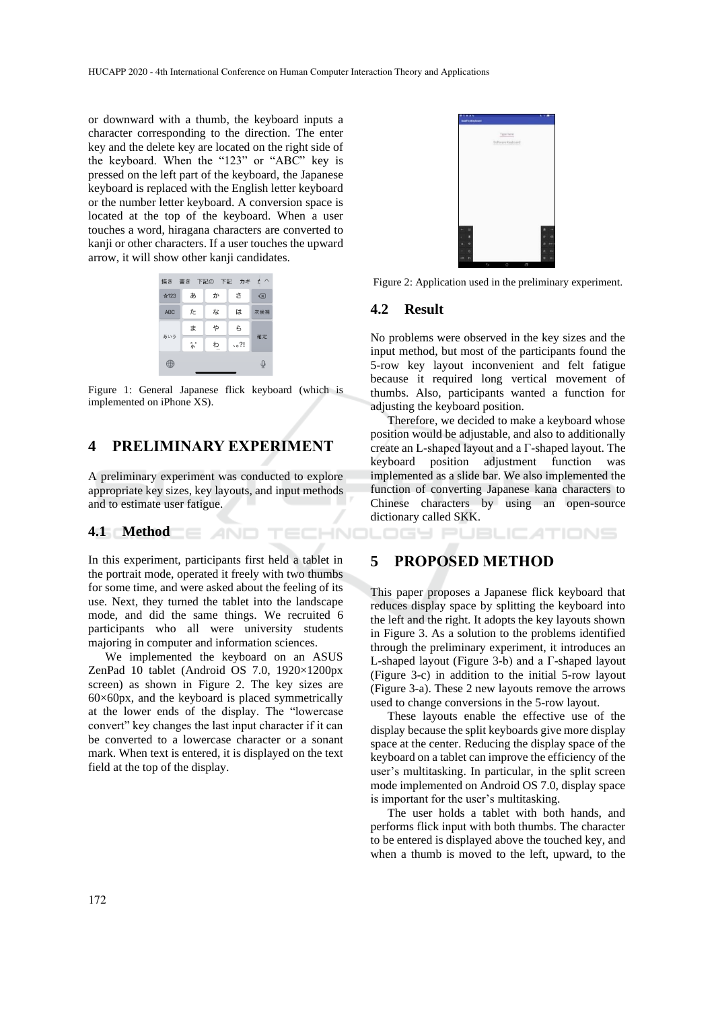or downward with a thumb, the keyboard inputs a character corresponding to the direction. The enter key and the delete key are located on the right side of the keyboard. When the "123" or "ABC" key is pressed on the left part of the keyboard, the Japanese keyboard is replaced with the English letter keyboard or the number letter keyboard. A conversion space is located at the top of the keyboard. When a user touches a word, hiragana characters are converted to kanji or other characters. If a user touches the upward arrow, it will show other kanji candidates.



Figure 1: General Japanese flick keyboard (which is implemented on iPhone XS).

## **4 PRELIMINARY EXPERIMENT**

A preliminary experiment was conducted to explore appropriate key sizes, key layouts, and input methods and to estimate user fatigue.

TECHNO

#### **4.1 Method**

In this experiment, participants first held a tablet in the portrait mode, operated it freely with two thumbs for some time, and were asked about the feeling of its use. Next, they turned the tablet into the landscape mode, and did the same things. We recruited 6 participants who all were university students majoring in computer and information sciences.

We implemented the keyboard on an ASUS ZenPad 10 tablet (Android OS 7.0, 1920×1200px screen) as shown in Figure 2. The key sizes are  $60\times60$ px, and the keyboard is placed symmetrically at the lower ends of the display. The "lowercase convert" key changes the last input character if it can be converted to a lowercase character or a sonant mark. When text is entered, it is displayed on the text field at the top of the display.



Figure 2: Application used in the preliminary experiment.

#### **4.2 Result**

No problems were observed in the key sizes and the input method, but most of the participants found the 5-row key layout inconvenient and felt fatigue because it required long vertical movement of thumbs. Also, participants wanted a function for adjusting the keyboard position.

Therefore, we decided to make a keyboard whose position would be adjustable, and also to additionally create an L-shaped layout and a Γ-shaped layout. The keyboard position adjustment function was implemented as a slide bar. We also implemented the function of converting Japanese kana characters to Chinese characters by using an open-source dictionary called SKK.

JBLIC ATIONS

### **5 PROPOSED METHOD**

This paper proposes a Japanese flick keyboard that reduces display space by splitting the keyboard into the left and the right. It adopts the key layouts shown in Figure 3. As a solution to the problems identified through the preliminary experiment, it introduces an L-shaped layout (Figure 3-b) and a Γ-shaped layout (Figure 3-c) in addition to the initial 5-row layout (Figure 3-a). These 2 new layouts remove the arrows used to change conversions in the 5-row layout.

These layouts enable the effective use of the display because the split keyboards give more display space at the center. Reducing the display space of the keyboard on a tablet can improve the efficiency of the user's multitasking. In particular, in the split screen mode implemented on Android OS 7.0, display space is important for the user's multitasking.

The user holds a tablet with both hands, and performs flick input with both thumbs. The character to be entered is displayed above the touched key, and when a thumb is moved to the left, upward, to the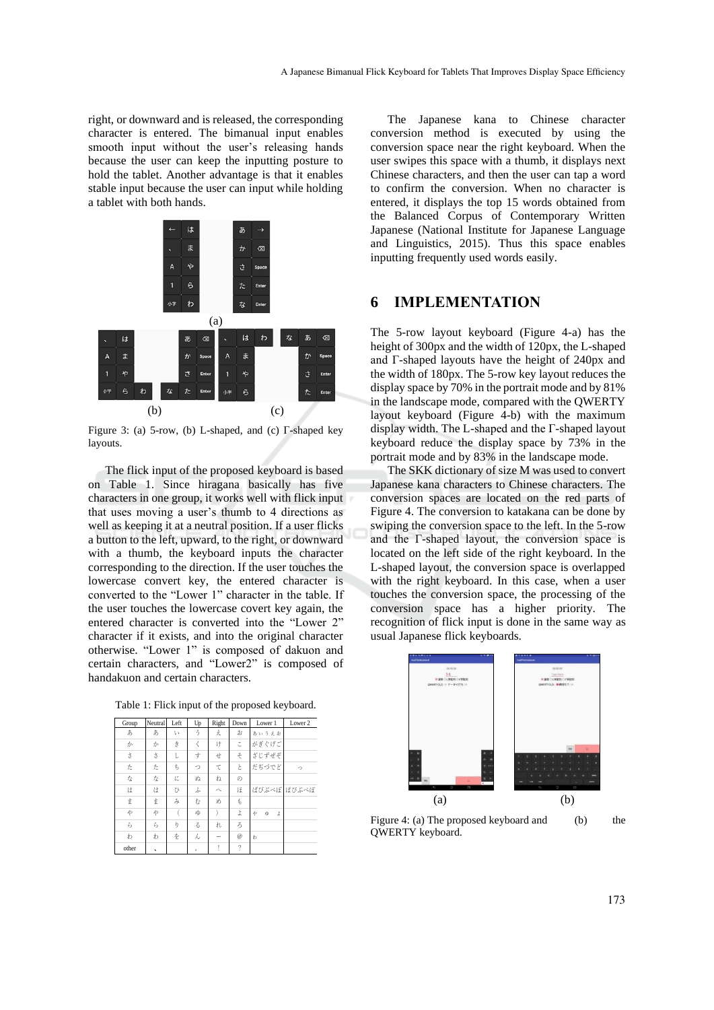right, or downward and is released, the corresponding character is entered. The bimanual input enables smooth input without the user's releasing hands because the user can keep the inputting posture to hold the tablet. Another advantage is that it enables stable input because the user can input while holding a tablet with both hands.



Figure 3: (a) 5-row, (b) L-shaped, and (c) Γ-shaped key layouts.

The flick input of the proposed keyboard is based on Table 1. Since hiragana basically has five characters in one group, it works well with flick input that uses moving a user's thumb to 4 directions as well as keeping it at a neutral position. If a user flicks a button to the left, upward, to the right, or downward with a thumb, the keyboard inputs the character corresponding to the direction. If the user touches the lowercase convert key, the entered character is converted to the "Lower 1" character in the table. If the user touches the lowercase covert key again, the entered character is converted into the "Lower 2" character if it exists, and into the original character otherwise. "Lower 1" is composed of dakuon and certain characters, and "Lower2" is composed of handakuon and certain characters.

Table 1: Flick input of the proposed keyboard.

| Group | Neutral | Left | Up      | Right                   | Down                     | Lower 1       | Lower <sub>2</sub> |
|-------|---------|------|---------|-------------------------|--------------------------|---------------|--------------------|
| あ     | あ       | ţ۵   | う       | え                       | お                        | あいうえお         |                    |
| ゕ     | ゕ       | 출    | ₹       | け                       | こ                        | がぎぐげご         |                    |
| ਤੇ    | È       | Ì.   | 宁       | せ                       | そ                        | ざじずぜぞ         |                    |
| た     | た       | ち    | っ       | て                       | Ł                        | だぢづでど         | っ                  |
| な     | な       | KΣ   | ぬ       | ね                       | の                        |               |                    |
| は     | は       | ひ    | ふ       | $\widehat{\phantom{a}}$ | ほ                        |               | ばびぶべぼ ばびぶべぼ        |
| ŧ     | ま       | み    | む       | め                       | r                        |               |                    |
| Þ     | や       |      | ゆ       |                         | よ                        | や<br>ΝФ<br>Ì. |                    |
| ら     | ら       | ŋ    | Z,      | れ                       | $\mathcal{Z}_{2}$        |               |                    |
| わ     | わ       | 垄    | ん       |                         | $^{\circ}$               | わ             |                    |
| other | $\cdot$ |      | $\circ$ |                         | $\overline{\phantom{a}}$ |               |                    |

The Japanese kana to Chinese character conversion method is executed by using the conversion space near the right keyboard. When the user swipes this space with a thumb, it displays next Chinese characters, and then the user can tap a word to confirm the conversion. When no character is entered, it displays the top 15 words obtained from the Balanced Corpus of Contemporary Written Japanese (National Institute for Japanese Language and Linguistics, 2015). Thus this space enables inputting frequently used words easily.

# **6 IMPLEMENTATION**

The 5-row layout keyboard (Figure 4-a) has the height of 300px and the width of 120px, the L-shaped and Γ-shaped layouts have the height of 240px and the width of 180px. The 5-row key layout reduces the display space by 70% in the portrait mode and by 81% in the landscape mode, compared with the QWERTY layout keyboard (Figure 4-b) with the maximum display width. The L-shaped and the Γ-shaped layout keyboard reduce the display space by 73% in the portrait mode and by 83% in the landscape mode.

The SKK dictionary of size M was used to convert Japanese kana characters to Chinese characters. The conversion spaces are located on the red parts of Figure 4. The conversion to katakana can be done by swiping the conversion space to the left. In the 5-row and the Γ-shaped layout, the conversion space is located on the left side of the right keyboard. In the L-shaped layout, the conversion space is overlapped with the right keyboard. In this case, when a user touches the conversion space, the processing of the conversion space has a higher priority. The recognition of flick input is done in the same way as usual Japanese flick keyboards.



Figure 4: (a) The proposed keyboard and (b) the QWERTY keyboard.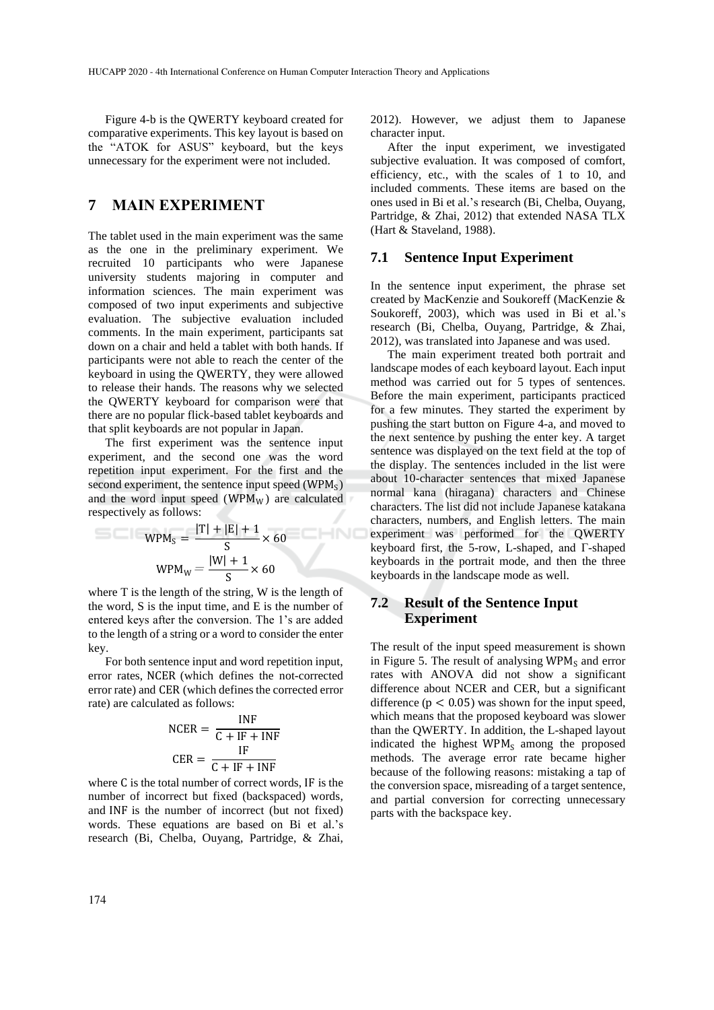Figure 4-b is the QWERTY keyboard created for comparative experiments. This key layout is based on the "ATOK for ASUS" keyboard, but the keys unnecessary for the experiment were not included.

# **7 MAIN EXPERIMENT**

The tablet used in the main experiment was the same as the one in the preliminary experiment. We recruited 10 participants who were Japanese university students majoring in computer and information sciences. The main experiment was composed of two input experiments and subjective evaluation. The subjective evaluation included comments. In the main experiment, participants sat down on a chair and held a tablet with both hands. If participants were not able to reach the center of the keyboard in using the QWERTY, they were allowed to release their hands. The reasons why we selected the QWERTY keyboard for comparison were that there are no popular flick-based tablet keyboards and that split keyboards are not popular in Japan.

The first experiment was the sentence input experiment, and the second one was the word repetition input experiment. For the first and the second experiment, the sentence input speed  $(WPM<sub>S</sub>)$ and the word input speed ( $WPM_W$ ) are calculated respectively as follows:

$$
WPM_S = \frac{|T| + |E| + 1}{S} \times 60
$$
  
 
$$
WPM_W = \frac{|W| + 1}{S} \times 60
$$

where T is the length of the string, W is the length of the word, S is the input time, and E is the number of entered keys after the conversion. The 1's are added to the length of a string or a word to consider the enter key.

For both sentence input and word repetition input, error rates, NCER (which defines the not-corrected error rate) and CER (which defines the corrected error rate) are calculated as follows:

$$
NCER = \frac{INF}{C + IF + INF}
$$

$$
CER = \frac{IF}{C + IF + INF}
$$

where C is the total number of correct words, IF is the number of incorrect but fixed (backspaced) words, and INF is the number of incorrect (but not fixed) words. These equations are based on Bi et al.'s research (Bi, Chelba, Ouyang, Partridge, & Zhai,

2012). However, we adjust them to Japanese character input.

After the input experiment, we investigated subjective evaluation. It was composed of comfort, efficiency, etc., with the scales of 1 to 10, and included comments. These items are based on the ones used in Bi et al.'s research (Bi, Chelba, Ouyang, Partridge, & Zhai, 2012) that extended NASA TLX (Hart & Staveland, 1988).

#### **7.1 Sentence Input Experiment**

In the sentence input experiment, the phrase set created by MacKenzie and Soukoreff (MacKenzie & Soukoreff, 2003), which was used in Bi et al.'s research (Bi, Chelba, Ouyang, Partridge, & Zhai, 2012), was translated into Japanese and was used.

The main experiment treated both portrait and landscape modes of each keyboard layout. Each input method was carried out for 5 types of sentences. Before the main experiment, participants practiced for a few minutes. They started the experiment by pushing the start button on Figure 4-a, and moved to the next sentence by pushing the enter key. A target sentence was displayed on the text field at the top of the display. The sentences included in the list were about 10-character sentences that mixed Japanese normal kana (hiragana) characters and Chinese characters. The list did not include Japanese katakana characters, numbers, and English letters. The main experiment was performed for the QWERTY keyboard first, the 5-row, L-shaped, and Γ-shaped keyboards in the portrait mode, and then the three keyboards in the landscape mode as well.

### **7.2 Result of the Sentence Input Experiment**

The result of the input speed measurement is shown in Figure 5. The result of analysing  $WPM<sub>S</sub>$  and error rates with ANOVA did not show a significant difference about NCER and CER, but a significant difference ( $p < 0.05$ ) was shown for the input speed, which means that the proposed keyboard was slower than the QWERTY. In addition, the L-shaped layout indicated the highest  $WPM<sub>s</sub>$  among the proposed methods. The average error rate became higher because of the following reasons: mistaking a tap of the conversion space, misreading of a target sentence, and partial conversion for correcting unnecessary parts with the backspace key.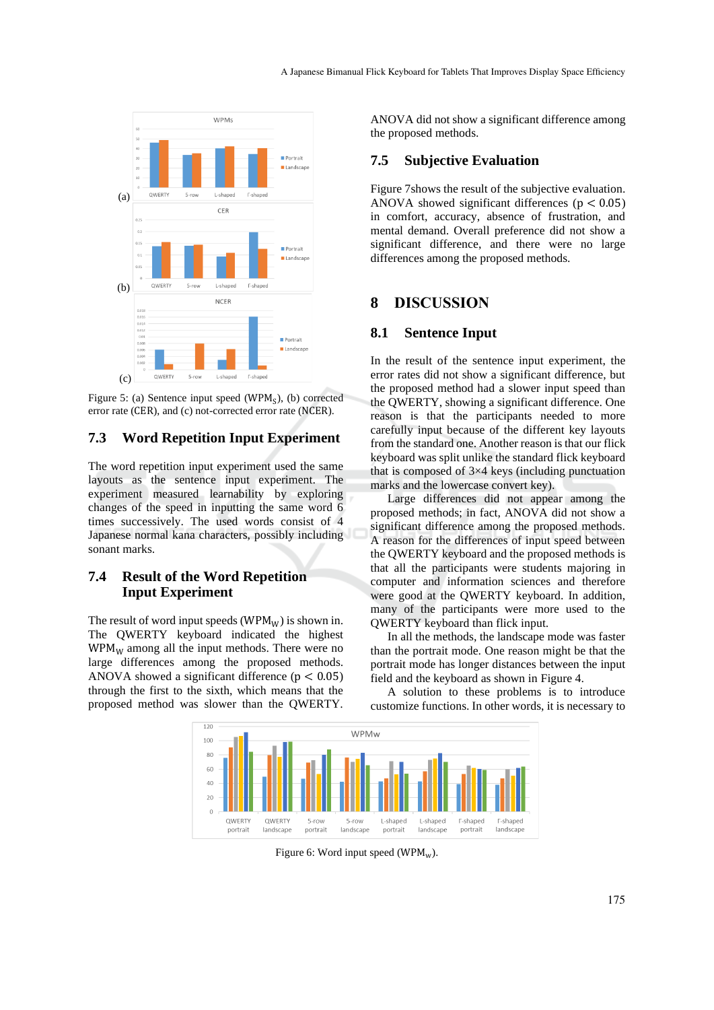

Figure 5: (a) Sentence input speed ( $WPM<sub>S</sub>$ ), (b) corrected error rate (CER), and (c) not-corrected error rate (NCER).

### **7.3 Word Repetition Input Experiment**

The word repetition input experiment used the same layouts as the sentence input experiment. The experiment measured learnability by exploring changes of the speed in inputting the same word 6 times successively. The used words consist of 4 Japanese normal kana characters, possibly including sonant marks.

## **7.4 Result of the Word Repetition Input Experiment**

The result of word input speeds (WPM $_W$ ) is shown in. The QWERTY keyboard indicated the highest  $WPM_W$  among all the input methods. There were no large differences among the proposed methods. ANOVA showed a significant difference ( $p < 0.05$ ) through the first to the sixth, which means that the proposed method was slower than the QWERTY.

ANOVA did not show a significant difference among the proposed methods.

#### **7.5 Subjective Evaluation**

Figure 7shows the result of the subjective evaluation. ANOVA showed significant differences  $(p < 0.05)$ in comfort, accuracy, absence of frustration, and mental demand. Overall preference did not show a significant difference, and there were no large differences among the proposed methods.

### **8 DISCUSSION**

#### **8.1 Sentence Input**

In the result of the sentence input experiment, the error rates did not show a significant difference, but the proposed method had a slower input speed than the QWERTY, showing a significant difference. One reason is that the participants needed to more carefully input because of the different key layouts from the standard one. Another reason is that our flick keyboard was split unlike the standard flick keyboard that is composed of  $3\times4$  keys (including punctuation marks and the lowercase convert key).

Large differences did not appear among the proposed methods; in fact, ANOVA did not show a significant difference among the proposed methods. A reason for the differences of input speed between the QWERTY keyboard and the proposed methods is that all the participants were students majoring in computer and information sciences and therefore were good at the QWERTY keyboard. In addition, many of the participants were more used to the QWERTY keyboard than flick input.

In all the methods, the landscape mode was faster than the portrait mode. One reason might be that the portrait mode has longer distances between the input field and the keyboard as shown in Figure 4.

A solution to these problems is to introduce customize functions. In other words, it is necessary to



Figure 6: Word input speed (WPM<sub>w</sub>).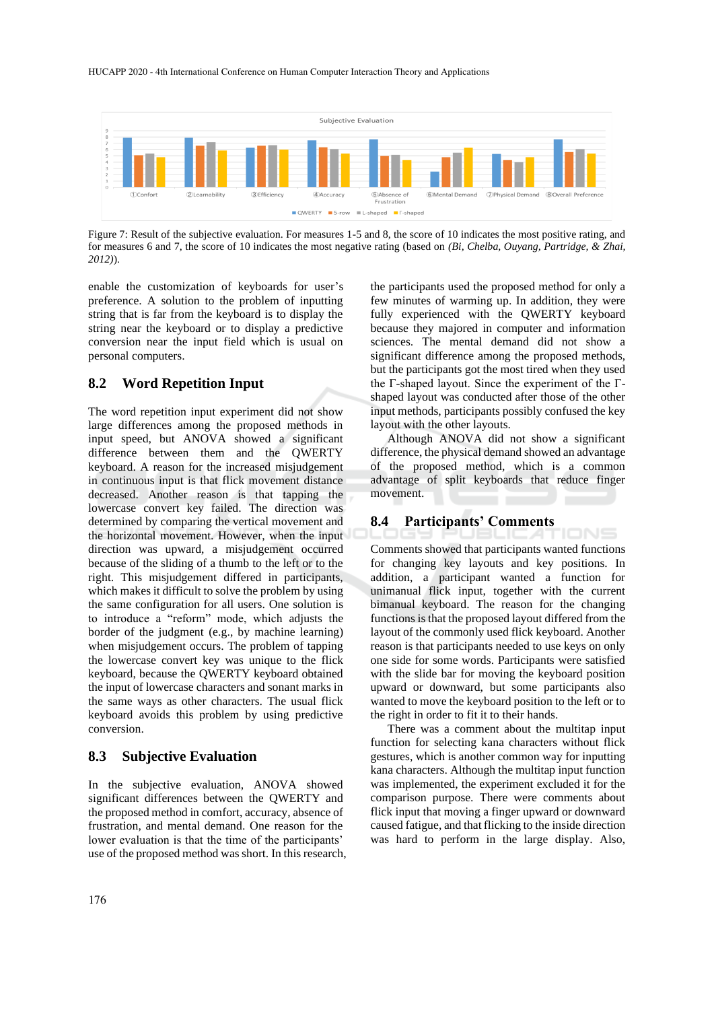

Figure 7: Result of the subjective evaluation. For measures 1-5 and 8, the score of 10 indicates the most positive rating, and for measures 6 and 7, the score of 10 indicates the most negative rating (based on *(Bi, Chelba, Ouyang, Partridge, & Zhai, 2012)*).

enable the customization of keyboards for user's preference. A solution to the problem of inputting string that is far from the keyboard is to display the string near the keyboard or to display a predictive conversion near the input field which is usual on personal computers.

#### **8.2 Word Repetition Input**

The word repetition input experiment did not show large differences among the proposed methods in input speed, but ANOVA showed a significant difference between them and the QWERTY keyboard. A reason for the increased misjudgement in continuous input is that flick movement distance decreased. Another reason is that tapping the lowercase convert key failed. The direction was determined by comparing the vertical movement and the horizontal movement. However, when the input direction was upward, a misjudgement occurred because of the sliding of a thumb to the left or to the right. This misjudgement differed in participants, which makes it difficult to solve the problem by using the same configuration for all users. One solution is to introduce a "reform" mode, which adjusts the border of the judgment (e.g., by machine learning) when misjudgement occurs. The problem of tapping the lowercase convert key was unique to the flick keyboard, because the QWERTY keyboard obtained the input of lowercase characters and sonant marks in the same ways as other characters. The usual flick keyboard avoids this problem by using predictive conversion.

### **8.3 Subjective Evaluation**

In the subjective evaluation, ANOVA showed significant differences between the QWERTY and the proposed method in comfort, accuracy, absence of frustration, and mental demand. One reason for the lower evaluation is that the time of the participants' use of the proposed method was short. In this research,

the participants used the proposed method for only a few minutes of warming up. In addition, they were fully experienced with the QWERTY keyboard because they majored in computer and information sciences. The mental demand did not show a significant difference among the proposed methods, but the participants got the most tired when they used the Γ-shaped layout. Since the experiment of the Γshaped layout was conducted after those of the other input methods, participants possibly confused the key layout with the other layouts.

Although ANOVA did not show a significant difference, the physical demand showed an advantage of the proposed method, which is a common advantage of split keyboards that reduce finger movement.

### **8.4 Participants' Comments**

Comments showed that participants wanted functions for changing key layouts and key positions. In addition, a participant wanted a function for unimanual flick input, together with the current bimanual keyboard. The reason for the changing functions is that the proposed layout differed from the layout of the commonly used flick keyboard. Another reason is that participants needed to use keys on only one side for some words. Participants were satisfied with the slide bar for moving the keyboard position upward or downward, but some participants also wanted to move the keyboard position to the left or to the right in order to fit it to their hands.

There was a comment about the multitap input function for selecting kana characters without flick gestures, which is another common way for inputting kana characters. Although the multitap input function was implemented, the experiment excluded it for the comparison purpose. There were comments about flick input that moving a finger upward or downward caused fatigue, and that flicking to the inside direction was hard to perform in the large display. Also,